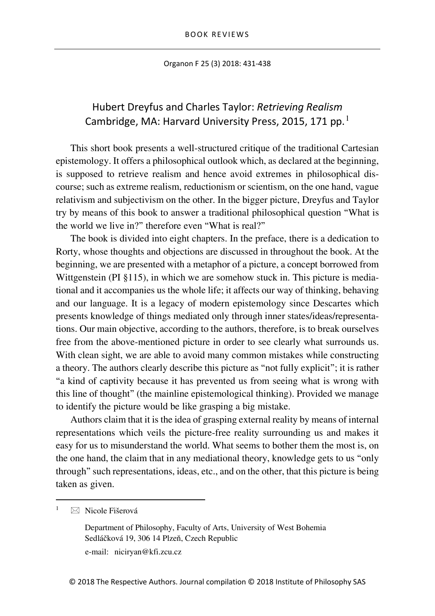Organon F 25 (3) 2018: 431-438

## Hubert Dreyfus and Charles Taylor: *Retrieving Realism* Cambridge, MA: Harvard University Press, 20[1](#page-0-0)5, 171 pp.<sup>1</sup>

This short book presents a well-structured critique of the traditional Cartesian epistemology. It offers a philosophical outlook which, as declared at the beginning, is supposed to retrieve realism and hence avoid extremes in philosophical discourse; such as extreme realism, reductionism or scientism, on the one hand, vague relativism and subjectivism on the other. In the bigger picture, Dreyfus and Taylor try by means of this book to answer a traditional philosophical question "What is the world we live in?" therefore even "What is real?"

The book is divided into eight chapters. In the preface, there is a dedication to Rorty, whose thoughts and objections are discussed in throughout the book. At the beginning, we are presented with a metaphor of a picture, a concept borrowed from Wittgenstein (PI §115), in which we are somehow stuck in. This picture is mediational and it accompanies us the whole life; it affects our way of thinking, behaving and our language. It is a legacy of modern epistemology since Descartes which presents knowledge of things mediated only through inner states/ideas/representations. Our main objective, according to the authors, therefore, is to break ourselves free from the above-mentioned picture in order to see clearly what surrounds us. With clean sight, we are able to avoid many common mistakes while constructing a theory. The authors clearly describe this picture as "not fully explicit"; it is rather "a kind of captivity because it has prevented us from seeing what is wrong with this line of thought" (the mainline epistemological thinking). Provided we manage to identify the picture would be like grasping a big mistake.

Authors claim that it is the idea of grasping external reality by means of internal representations which veils the picture-free reality surrounding us and makes it easy for us to misunderstand the world. What seems to bother them the most is, on the one hand, the claim that in any mediational theory, knowledge gets to us "only through" such representations, ideas, etc., and on the other, that this picture is being taken as given.

<span id="page-0-0"></span> $\boxtimes$  Nicole Fišerová

Department of Philosophy, Faculty of Arts, University of West Bohemia Sedláčková 19, 306 14 Plzeň, Czech Republic

e-mail: niciryan@kfi.zcu.cz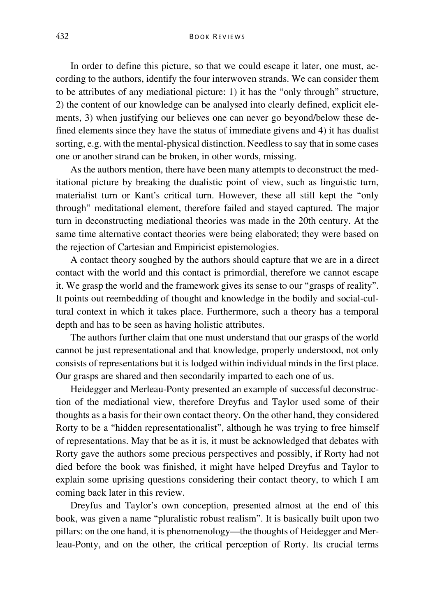In order to define this picture, so that we could escape it later, one must, according to the authors, identify the four interwoven strands. We can consider them to be attributes of any mediational picture: 1) it has the "only through" structure, 2) the content of our knowledge can be analysed into clearly defined, explicit elements, 3) when justifying our believes one can never go beyond/below these defined elements since they have the status of immediate givens and 4) it has dualist sorting, e.g. with the mental-physical distinction. Needless to say that in some cases one or another strand can be broken, in other words, missing.

As the authors mention, there have been many attempts to deconstruct the meditational picture by breaking the dualistic point of view, such as linguistic turn, materialist turn or Kant's critical turn. However, these all still kept the "only through" meditational element, therefore failed and stayed captured. The major turn in deconstructing mediational theories was made in the 20th century. At the same time alternative contact theories were being elaborated; they were based on the rejection of Cartesian and Empiricist epistemologies.

A contact theory soughed by the authors should capture that we are in a direct contact with the world and this contact is primordial, therefore we cannot escape it. We grasp the world and the framework gives its sense to our "grasps of reality". It points out reembedding of thought and knowledge in the bodily and social-cultural context in which it takes place. Furthermore, such a theory has a temporal depth and has to be seen as having holistic attributes.

The authors further claim that one must understand that our grasps of the world cannot be just representational and that knowledge, properly understood, not only consists of representations but it is lodged within individual minds in the first place. Our grasps are shared and then secondarily imparted to each one of us.

Heidegger and Merleau-Ponty presented an example of successful deconstruction of the mediational view, therefore Dreyfus and Taylor used some of their thoughts as a basis for their own contact theory. On the other hand, they considered Rorty to be a "hidden representationalist", although he was trying to free himself of representations. May that be as it is, it must be acknowledged that debates with Rorty gave the authors some precious perspectives and possibly, if Rorty had not died before the book was finished, it might have helped Dreyfus and Taylor to explain some uprising questions considering their contact theory, to which I am coming back later in this review.

Dreyfus and Taylor's own conception, presented almost at the end of this book, was given a name "pluralistic robust realism". It is basically built upon two pillars: on the one hand, it is phenomenology—the thoughts of Heidegger and Merleau-Ponty, and on the other, the critical perception of Rorty. Its crucial terms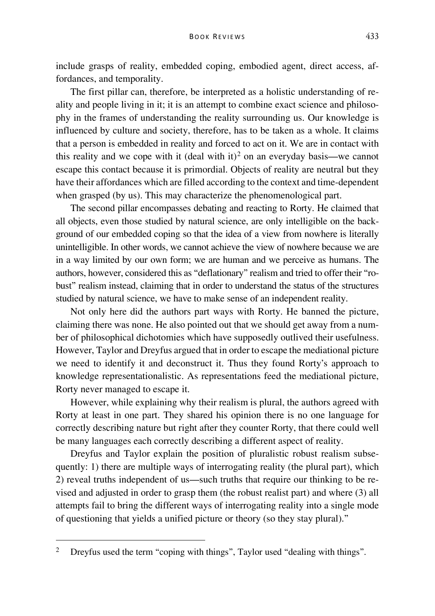include grasps of reality, embedded coping, embodied agent, direct access, affordances, and temporality.

The first pillar can, therefore, be interpreted as a holistic understanding of reality and people living in it; it is an attempt to combine exact science and philosophy in the frames of understanding the reality surrounding us. Our knowledge is influenced by culture and society, therefore, has to be taken as a whole. It claims that a person is embedded in reality and forced to act on it. We are in contact with this reality and we cope with it (deal with it)<sup>[2](#page-2-0)</sup> on an everyday basis—we cannot escape this contact because it is primordial. Objects of reality are neutral but they have their affordances which are filled according to the context and time-dependent when grasped (by us). This may characterize the phenomenological part.

The second pillar encompasses debating and reacting to Rorty. He claimed that all objects, even those studied by natural science, are only intelligible on the background of our embedded coping so that the idea of a view from nowhere is literally unintelligible. In other words, we cannot achieve the view of nowhere because we are in a way limited by our own form; we are human and we perceive as humans. The authors, however, considered this as "deflationary" realism and tried to offer their "robust" realism instead, claiming that in order to understand the status of the structures studied by natural science, we have to make sense of an independent reality.

Not only here did the authors part ways with Rorty. He banned the picture, claiming there was none. He also pointed out that we should get away from a number of philosophical dichotomies which have supposedly outlived their usefulness. However, Taylor and Dreyfus argued that in order to escape the mediational picture we need to identify it and deconstruct it. Thus they found Rorty's approach to knowledge representationalistic. As representations feed the mediational picture, Rorty never managed to escape it.

However, while explaining why their realism is plural, the authors agreed with Rorty at least in one part. They shared his opinion there is no one language for correctly describing nature but right after they counter Rorty, that there could well be many languages each correctly describing a different aspect of reality.

Dreyfus and Taylor explain the position of pluralistic robust realism subsequently: 1) there are multiple ways of interrogating reality (the plural part), which 2) reveal truths independent of us—such truths that require our thinking to be revised and adjusted in order to grasp them (the robust realist part) and where (3) all attempts fail to bring the different ways of interrogating reality into a single mode of questioning that yields a unified picture or theory (so they stay plural)."

<span id="page-2-0"></span><sup>&</sup>lt;sup>2</sup> Dreyfus used the term "coping with things", Taylor used "dealing with things".